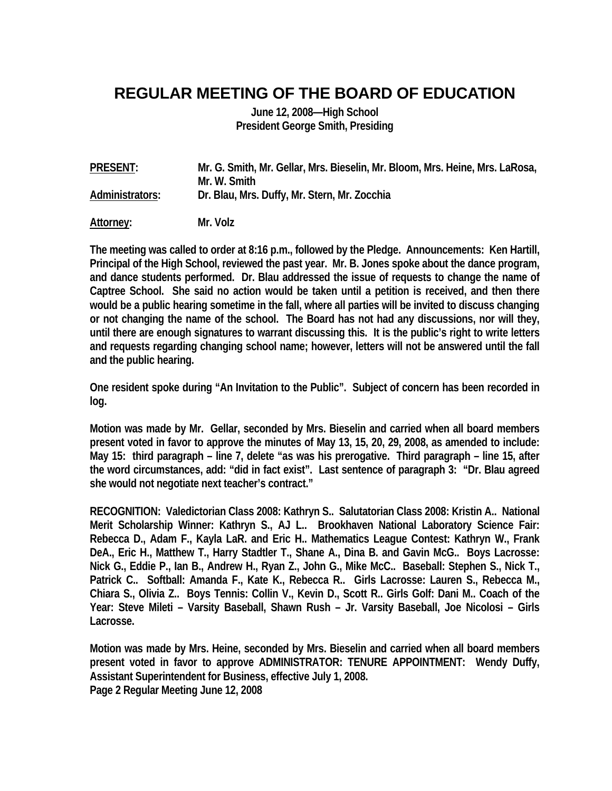## **REGULAR MEETING OF THE BOARD OF EDUCATION**

**June 12, 2008—High School President George Smith, Presiding** 

**PRESENT: Mr. G. Smith, Mr. Gellar, Mrs. Bieselin, Mr. Bloom, Mrs. Heine, Mrs. LaRosa, Mr. W. Smith Administrators: Dr. Blau, Mrs. Duffy, Mr. Stern, Mr. Zocchia Attorney: Mr. Volz** 

**The meeting was called to order at 8:16 p.m., followed by the Pledge. Announcements: Ken Hartill, Principal of the High School, reviewed the past year. Mr. B. Jones spoke about the dance program, and dance students performed. Dr. Blau addressed the issue of requests to change the name of Captree School. She said no action would be taken until a petition is received, and then there would be a public hearing sometime in the fall, where all parties will be invited to discuss changing or not changing the name of the school. The Board has not had any discussions, nor will they, until there are enough signatures to warrant discussing this. It is the public's right to write letters and requests regarding changing school name; however, letters will not be answered until the fall and the public hearing.** 

**One resident spoke during "An Invitation to the Public". Subject of concern has been recorded in log.** 

**Motion was made by Mr. Gellar, seconded by Mrs. Bieselin and carried when all board members present voted in favor to approve the minutes of May 13, 15, 20, 29, 2008, as amended to include: May 15: third paragraph – line 7, delete "as was his prerogative. Third paragraph – line 15, after the word circumstances, add: "did in fact exist". Last sentence of paragraph 3: "Dr. Blau agreed she would not negotiate next teacher's contract."** 

**RECOGNITION: Valedictorian Class 2008: Kathryn S.. Salutatorian Class 2008: Kristin A.. National Merit Scholarship Winner: Kathryn S., AJ L.. Brookhaven National Laboratory Science Fair: Rebecca D., Adam F., Kayla LaR. and Eric H.. Mathematics League Contest: Kathryn W., Frank DeA., Eric H., Matthew T., Harry Stadtler T., Shane A., Dina B. and Gavin McG.. Boys Lacrosse: Nick G., Eddie P., Ian B., Andrew H., Ryan Z., John G., Mike McC.. Baseball: Stephen S., Nick T., Patrick C.. Softball: Amanda F., Kate K., Rebecca R.. Girls Lacrosse: Lauren S., Rebecca M., Chiara S., Olivia Z.. Boys Tennis: Collin V., Kevin D., Scott R.. Girls Golf: Dani M.. Coach of the Year: Steve Mileti – Varsity Baseball, Shawn Rush – Jr. Varsity Baseball, Joe Nicolosi – Girls Lacrosse.** 

**Motion was made by Mrs. Heine, seconded by Mrs. Bieselin and carried when all board members present voted in favor to approve ADMINISTRATOR: TENURE APPOINTMENT: Wendy Duffy, Assistant Superintendent for Business, effective July 1, 2008. Page 2 Regular Meeting June 12, 2008**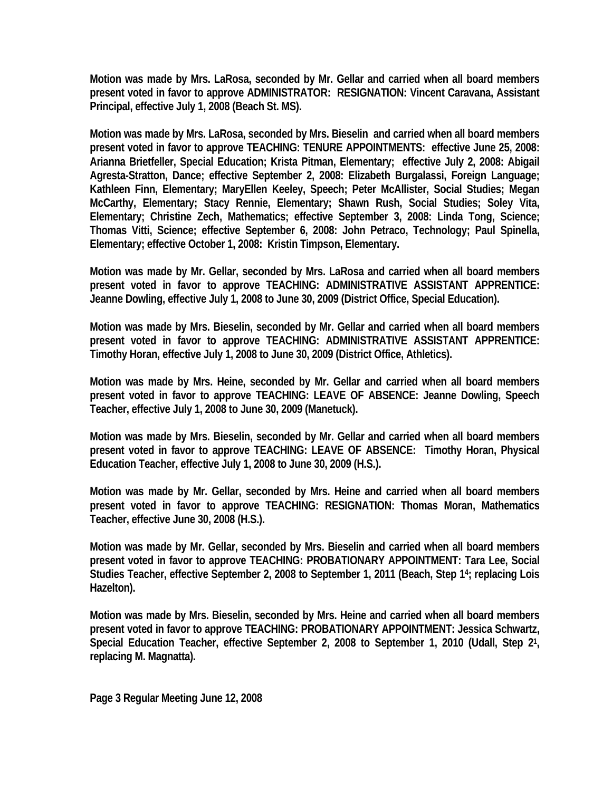**Motion was made by Mrs. LaRosa, seconded by Mr. Gellar and carried when all board members present voted in favor to approve ADMINISTRATOR: RESIGNATION: Vincent Caravana, Assistant Principal, effective July 1, 2008 (Beach St. MS).** 

**Motion was made by Mrs. LaRosa, seconded by Mrs. Bieselin and carried when all board members present voted in favor to approve TEACHING: TENURE APPOINTMENTS: effective June 25, 2008: Arianna Brietfeller, Special Education; Krista Pitman, Elementary; effective July 2, 2008: Abigail Agresta-Stratton, Dance; effective September 2, 2008: Elizabeth Burgalassi, Foreign Language; Kathleen Finn, Elementary; MaryEllen Keeley, Speech; Peter McAllister, Social Studies; Megan McCarthy, Elementary; Stacy Rennie, Elementary; Shawn Rush, Social Studies; Soley Vita, Elementary; Christine Zech, Mathematics; effective September 3, 2008: Linda Tong, Science; Thomas Vitti, Science; effective September 6, 2008: John Petraco, Technology; Paul Spinella, Elementary; effective October 1, 2008: Kristin Timpson, Elementary.** 

**Motion was made by Mr. Gellar, seconded by Mrs. LaRosa and carried when all board members present voted in favor to approve TEACHING: ADMINISTRATIVE ASSISTANT APPRENTICE: Jeanne Dowling, effective July 1, 2008 to June 30, 2009 (District Office, Special Education).** 

**Motion was made by Mrs. Bieselin, seconded by Mr. Gellar and carried when all board members present voted in favor to approve TEACHING: ADMINISTRATIVE ASSISTANT APPRENTICE: Timothy Horan, effective July 1, 2008 to June 30, 2009 (District Office, Athletics).** 

**Motion was made by Mrs. Heine, seconded by Mr. Gellar and carried when all board members present voted in favor to approve TEACHING: LEAVE OF ABSENCE: Jeanne Dowling, Speech Teacher, effective July 1, 2008 to June 30, 2009 (Manetuck).** 

**Motion was made by Mrs. Bieselin, seconded by Mr. Gellar and carried when all board members present voted in favor to approve TEACHING: LEAVE OF ABSENCE: Timothy Horan, Physical Education Teacher, effective July 1, 2008 to June 30, 2009 (H.S.).** 

**Motion was made by Mr. Gellar, seconded by Mrs. Heine and carried when all board members present voted in favor to approve TEACHING: RESIGNATION: Thomas Moran, Mathematics Teacher, effective June 30, 2008 (H.S.).** 

**Motion was made by Mr. Gellar, seconded by Mrs. Bieselin and carried when all board members present voted in favor to approve TEACHING: PROBATIONARY APPOINTMENT: Tara Lee, Social Studies Teacher, effective September 2, 2008 to September 1, 2011 (Beach, Step 14; replacing Lois Hazelton).** 

**Motion was made by Mrs. Bieselin, seconded by Mrs. Heine and carried when all board members present voted in favor to approve TEACHING: PROBATIONARY APPOINTMENT: Jessica Schwartz, Special Education Teacher, effective September 2, 2008 to September 1, 2010 (Udall, Step 21, replacing M. Magnatta).** 

**Page 3 Regular Meeting June 12, 2008**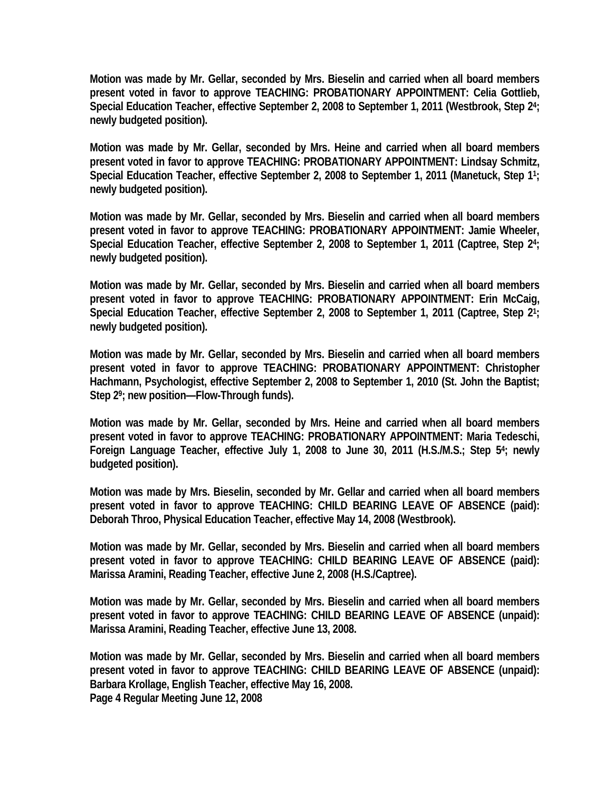**Motion was made by Mr. Gellar, seconded by Mrs. Bieselin and carried when all board members present voted in favor to approve TEACHING: PROBATIONARY APPOINTMENT: Celia Gottlieb, Special Education Teacher, effective September 2, 2008 to September 1, 2011 (Westbrook, Step 24; newly budgeted position).** 

**Motion was made by Mr. Gellar, seconded by Mrs. Heine and carried when all board members present voted in favor to approve TEACHING: PROBATIONARY APPOINTMENT: Lindsay Schmitz, Special Education Teacher, effective September 2, 2008 to September 1, 2011 (Manetuck, Step 11; newly budgeted position).** 

**Motion was made by Mr. Gellar, seconded by Mrs. Bieselin and carried when all board members present voted in favor to approve TEACHING: PROBATIONARY APPOINTMENT: Jamie Wheeler, Special Education Teacher, effective September 2, 2008 to September 1, 2011 (Captree, Step 24; newly budgeted position).** 

**Motion was made by Mr. Gellar, seconded by Mrs. Bieselin and carried when all board members present voted in favor to approve TEACHING: PROBATIONARY APPOINTMENT: Erin McCaig, Special Education Teacher, effective September 2, 2008 to September 1, 2011 (Captree, Step 21; newly budgeted position).** 

**Motion was made by Mr. Gellar, seconded by Mrs. Bieselin and carried when all board members present voted in favor to approve TEACHING: PROBATIONARY APPOINTMENT: Christopher Hachmann, Psychologist, effective September 2, 2008 to September 1, 2010 (St. John the Baptist; Step 29; new position—Flow-Through funds).** 

**Motion was made by Mr. Gellar, seconded by Mrs. Heine and carried when all board members present voted in favor to approve TEACHING: PROBATIONARY APPOINTMENT: Maria Tedeschi, Foreign Language Teacher, effective July 1, 2008 to June 30, 2011 (H.S./M.S.; Step 54; newly budgeted position).** 

**Motion was made by Mrs. Bieselin, seconded by Mr. Gellar and carried when all board members present voted in favor to approve TEACHING: CHILD BEARING LEAVE OF ABSENCE (paid): Deborah Throo, Physical Education Teacher, effective May 14, 2008 (Westbrook).** 

**Motion was made by Mr. Gellar, seconded by Mrs. Bieselin and carried when all board members present voted in favor to approve TEACHING: CHILD BEARING LEAVE OF ABSENCE (paid): Marissa Aramini, Reading Teacher, effective June 2, 2008 (H.S./Captree).** 

**Motion was made by Mr. Gellar, seconded by Mrs. Bieselin and carried when all board members present voted in favor to approve TEACHING: CHILD BEARING LEAVE OF ABSENCE (unpaid): Marissa Aramini, Reading Teacher, effective June 13, 2008.** 

**Motion was made by Mr. Gellar, seconded by Mrs. Bieselin and carried when all board members present voted in favor to approve TEACHING: CHILD BEARING LEAVE OF ABSENCE (unpaid): Barbara Krollage, English Teacher, effective May 16, 2008. Page 4 Regular Meeting June 12, 2008**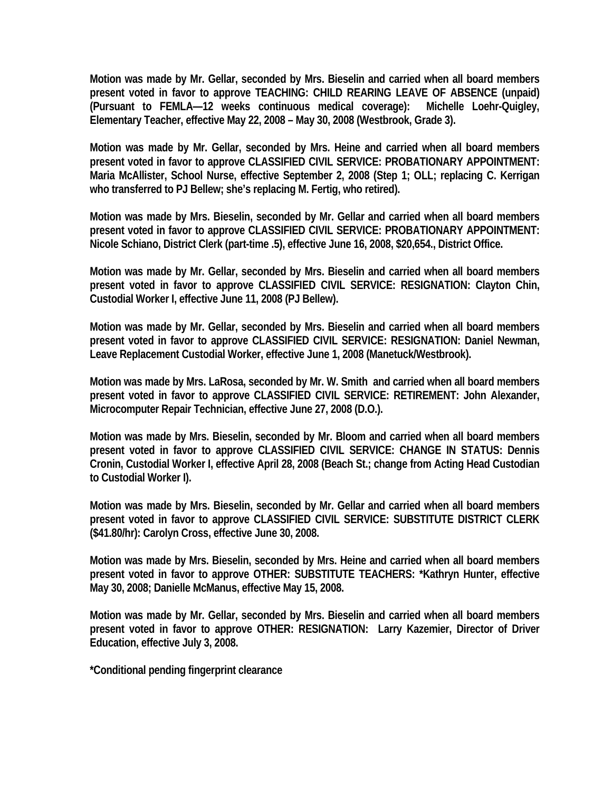**Motion was made by Mr. Gellar, seconded by Mrs. Bieselin and carried when all board members present voted in favor to approve TEACHING: CHILD REARING LEAVE OF ABSENCE (unpaid) (Pursuant to FEMLA—12 weeks continuous medical coverage): Michelle Loehr-Quigley, Elementary Teacher, effective May 22, 2008 – May 30, 2008 (Westbrook, Grade 3).** 

**Motion was made by Mr. Gellar, seconded by Mrs. Heine and carried when all board members present voted in favor to approve CLASSIFIED CIVIL SERVICE: PROBATIONARY APPOINTMENT: Maria McAllister, School Nurse, effective September 2, 2008 (Step 1; OLL; replacing C. Kerrigan who transferred to PJ Bellew; she's replacing M. Fertig, who retired).** 

**Motion was made by Mrs. Bieselin, seconded by Mr. Gellar and carried when all board members present voted in favor to approve CLASSIFIED CIVIL SERVICE: PROBATIONARY APPOINTMENT: Nicole Schiano, District Clerk (part-time .5), effective June 16, 2008, \$20,654., District Office.** 

**Motion was made by Mr. Gellar, seconded by Mrs. Bieselin and carried when all board members present voted in favor to approve CLASSIFIED CIVIL SERVICE: RESIGNATION: Clayton Chin, Custodial Worker I, effective June 11, 2008 (PJ Bellew).** 

**Motion was made by Mr. Gellar, seconded by Mrs. Bieselin and carried when all board members present voted in favor to approve CLASSIFIED CIVIL SERVICE: RESIGNATION: Daniel Newman, Leave Replacement Custodial Worker, effective June 1, 2008 (Manetuck/Westbrook).** 

**Motion was made by Mrs. LaRosa, seconded by Mr. W. Smith and carried when all board members present voted in favor to approve CLASSIFIED CIVIL SERVICE: RETIREMENT: John Alexander, Microcomputer Repair Technician, effective June 27, 2008 (D.O.).** 

**Motion was made by Mrs. Bieselin, seconded by Mr. Bloom and carried when all board members present voted in favor to approve CLASSIFIED CIVIL SERVICE: CHANGE IN STATUS: Dennis Cronin, Custodial Worker I, effective April 28, 2008 (Beach St.; change from Acting Head Custodian to Custodial Worker I).** 

**Motion was made by Mrs. Bieselin, seconded by Mr. Gellar and carried when all board members present voted in favor to approve CLASSIFIED CIVIL SERVICE: SUBSTITUTE DISTRICT CLERK (\$41.80/hr): Carolyn Cross, effective June 30, 2008.** 

**Motion was made by Mrs. Bieselin, seconded by Mrs. Heine and carried when all board members present voted in favor to approve OTHER: SUBSTITUTE TEACHERS: \*Kathryn Hunter, effective May 30, 2008; Danielle McManus, effective May 15, 2008.** 

**Motion was made by Mr. Gellar, seconded by Mrs. Bieselin and carried when all board members present voted in favor to approve OTHER: RESIGNATION: Larry Kazemier, Director of Driver Education, effective July 3, 2008.** 

**\*Conditional pending fingerprint clearance**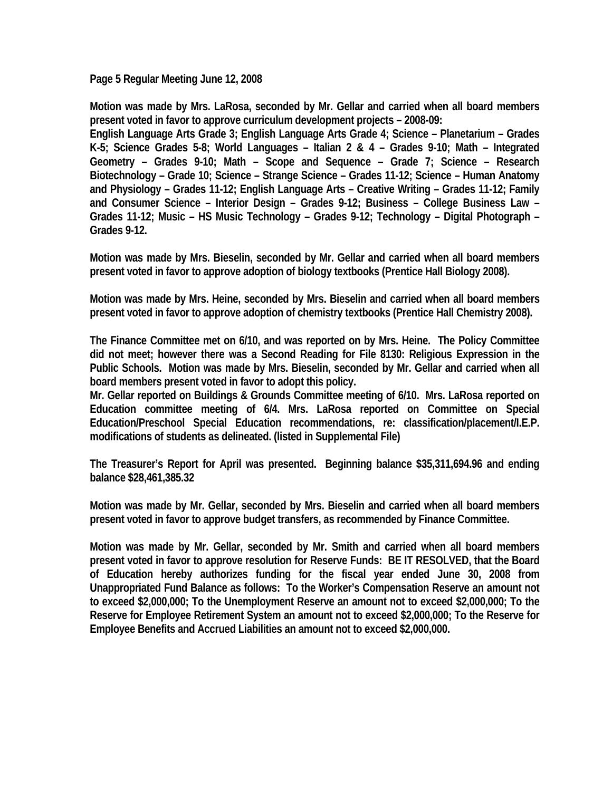**Page 5 Regular Meeting June 12, 2008** 

**Motion was made by Mrs. LaRosa, seconded by Mr. Gellar and carried when all board members present voted in favor to approve curriculum development projects – 2008-09:** 

**English Language Arts Grade 3; English Language Arts Grade 4; Science – Planetarium – Grades K-5; Science Grades 5-8; World Languages – Italian 2 & 4 – Grades 9-10; Math – Integrated Geometry – Grades 9-10; Math – Scope and Sequence – Grade 7; Science – Research Biotechnology – Grade 10; Science – Strange Science – Grades 11-12; Science – Human Anatomy and Physiology – Grades 11-12; English Language Arts – Creative Writing – Grades 11-12; Family and Consumer Science – Interior Design – Grades 9-12; Business – College Business Law – Grades 11-12; Music – HS Music Technology – Grades 9-12; Technology – Digital Photograph – Grades 9-12.** 

**Motion was made by Mrs. Bieselin, seconded by Mr. Gellar and carried when all board members present voted in favor to approve adoption of biology textbooks (Prentice Hall Biology 2008).** 

**Motion was made by Mrs. Heine, seconded by Mrs. Bieselin and carried when all board members present voted in favor to approve adoption of chemistry textbooks (Prentice Hall Chemistry 2008).** 

**The Finance Committee met on 6/10, and was reported on by Mrs. Heine. The Policy Committee did not meet; however there was a Second Reading for File 8130: Religious Expression in the Public Schools. Motion was made by Mrs. Bieselin, seconded by Mr. Gellar and carried when all board members present voted in favor to adopt this policy.** 

**Mr. Gellar reported on Buildings & Grounds Committee meeting of 6/10. Mrs. LaRosa reported on Education committee meeting of 6/4. Mrs. LaRosa reported on Committee on Special Education/Preschool Special Education recommendations, re: classification/placement/I.E.P. modifications of students as delineated. (listed in Supplemental File)** 

**The Treasurer's Report for April was presented. Beginning balance \$35,311,694.96 and ending balance \$28,461,385.32** 

**Motion was made by Mr. Gellar, seconded by Mrs. Bieselin and carried when all board members present voted in favor to approve budget transfers, as recommended by Finance Committee.** 

**Motion was made by Mr. Gellar, seconded by Mr. Smith and carried when all board members present voted in favor to approve resolution for Reserve Funds: BE IT RESOLVED, that the Board of Education hereby authorizes funding for the fiscal year ended June 30, 2008 from Unappropriated Fund Balance as follows: To the Worker's Compensation Reserve an amount not to exceed \$2,000,000; To the Unemployment Reserve an amount not to exceed \$2,000,000; To the Reserve for Employee Retirement System an amount not to exceed \$2,000,000; To the Reserve for Employee Benefits and Accrued Liabilities an amount not to exceed \$2,000,000.**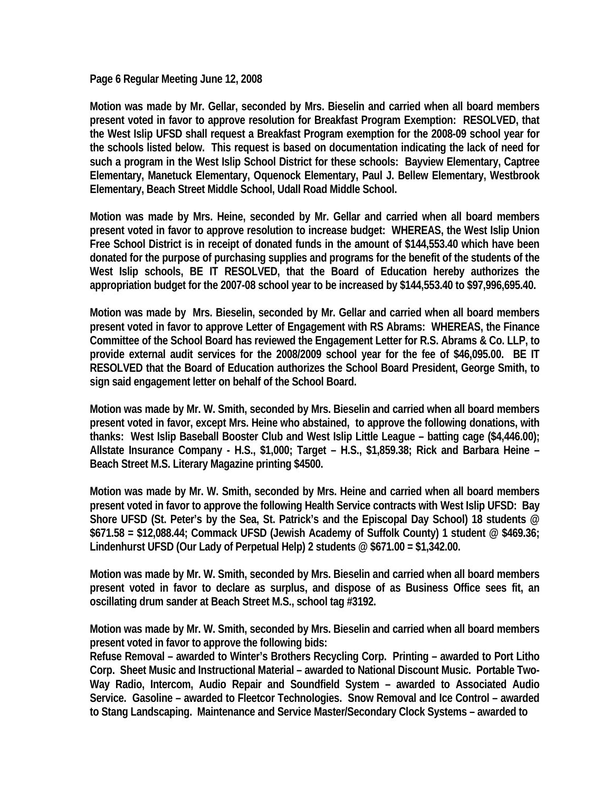**Page 6 Regular Meeting June 12, 2008** 

**Motion was made by Mr. Gellar, seconded by Mrs. Bieselin and carried when all board members present voted in favor to approve resolution for Breakfast Program Exemption: RESOLVED, that the West Islip UFSD shall request a Breakfast Program exemption for the 2008-09 school year for the schools listed below. This request is based on documentation indicating the lack of need for such a program in the West Islip School District for these schools: Bayview Elementary, Captree Elementary, Manetuck Elementary, Oquenock Elementary, Paul J. Bellew Elementary, Westbrook Elementary, Beach Street Middle School, Udall Road Middle School.** 

**Motion was made by Mrs. Heine, seconded by Mr. Gellar and carried when all board members present voted in favor to approve resolution to increase budget: WHEREAS, the West Islip Union Free School District is in receipt of donated funds in the amount of \$144,553.40 which have been donated for the purpose of purchasing supplies and programs for the benefit of the students of the West Islip schools, BE IT RESOLVED, that the Board of Education hereby authorizes the appropriation budget for the 2007-08 school year to be increased by \$144,553.40 to \$97,996,695.40.** 

**Motion was made by Mrs. Bieselin, seconded by Mr. Gellar and carried when all board members present voted in favor to approve Letter of Engagement with RS Abrams: WHEREAS, the Finance Committee of the School Board has reviewed the Engagement Letter for R.S. Abrams & Co. LLP, to provide external audit services for the 2008/2009 school year for the fee of \$46,095.00. BE IT RESOLVED that the Board of Education authorizes the School Board President, George Smith, to sign said engagement letter on behalf of the School Board.** 

**Motion was made by Mr. W. Smith, seconded by Mrs. Bieselin and carried when all board members present voted in favor, except Mrs. Heine who abstained, to approve the following donations, with thanks: West Islip Baseball Booster Club and West Islip Little League – batting cage (\$4,446.00); Allstate Insurance Company - H.S., \$1,000; Target – H.S., \$1,859.38; Rick and Barbara Heine – Beach Street M.S. Literary Magazine printing \$4500.** 

**Motion was made by Mr. W. Smith, seconded by Mrs. Heine and carried when all board members present voted in favor to approve the following Health Service contracts with West Islip UFSD: Bay Shore UFSD (St. Peter's by the Sea, St. Patrick's and the Episcopal Day School) 18 students @ \$671.58 = \$12,088.44; Commack UFSD (Jewish Academy of Suffolk County) 1 student @ \$469.36; Lindenhurst UFSD (Our Lady of Perpetual Help) 2 students @ \$671.00 = \$1,342.00.** 

**Motion was made by Mr. W. Smith, seconded by Mrs. Bieselin and carried when all board members present voted in favor to declare as surplus, and dispose of as Business Office sees fit, an oscillating drum sander at Beach Street M.S., school tag #3192.** 

**Motion was made by Mr. W. Smith, seconded by Mrs. Bieselin and carried when all board members present voted in favor to approve the following bids:** 

**Refuse Removal – awarded to Winter's Brothers Recycling Corp. Printing – awarded to Port Litho Corp. Sheet Music and Instructional Material – awarded to National Discount Music. Portable Two-Way Radio, Intercom, Audio Repair and Soundfield System – awarded to Associated Audio Service. Gasoline – awarded to Fleetcor Technologies. Snow Removal and Ice Control – awarded to Stang Landscaping. Maintenance and Service Master/Secondary Clock Systems – awarded to**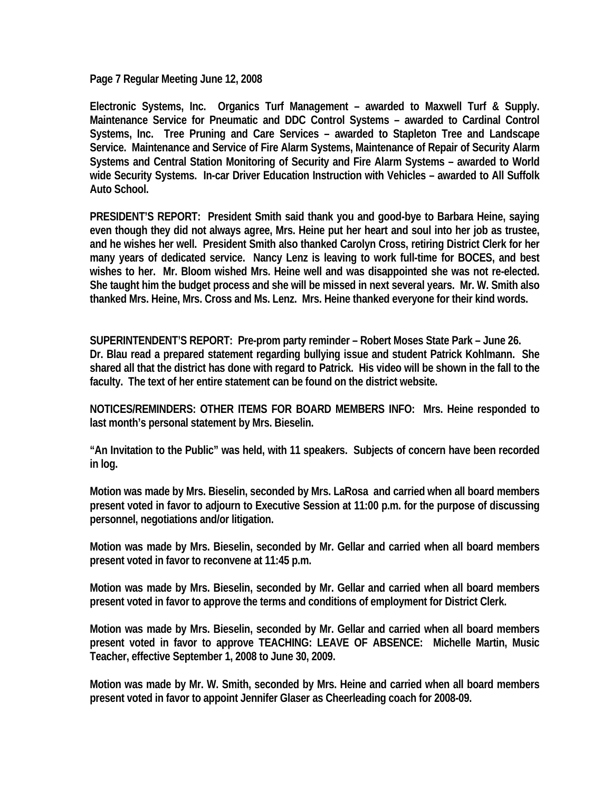**Page 7 Regular Meeting June 12, 2008** 

**Electronic Systems, Inc. Organics Turf Management – awarded to Maxwell Turf & Supply. Maintenance Service for Pneumatic and DDC Control Systems – awarded to Cardinal Control Systems, Inc. Tree Pruning and Care Services – awarded to Stapleton Tree and Landscape Service. Maintenance and Service of Fire Alarm Systems, Maintenance of Repair of Security Alarm Systems and Central Station Monitoring of Security and Fire Alarm Systems – awarded to World wide Security Systems. In-car Driver Education Instruction with Vehicles – awarded to All Suffolk Auto School.** 

**PRESIDENT'S REPORT: President Smith said thank you and good-bye to Barbara Heine, saying even though they did not always agree, Mrs. Heine put her heart and soul into her job as trustee, and he wishes her well. President Smith also thanked Carolyn Cross, retiring District Clerk for her many years of dedicated service. Nancy Lenz is leaving to work full-time for BOCES, and best wishes to her. Mr. Bloom wished Mrs. Heine well and was disappointed she was not re-elected. She taught him the budget process and she will be missed in next several years. Mr. W. Smith also thanked Mrs. Heine, Mrs. Cross and Ms. Lenz. Mrs. Heine thanked everyone for their kind words.** 

**SUPERINTENDENT'S REPORT: Pre-prom party reminder – Robert Moses State Park – June 26. Dr. Blau read a prepared statement regarding bullying issue and student Patrick Kohlmann. She shared all that the district has done with regard to Patrick. His video will be shown in the fall to the faculty. The text of her entire statement can be found on the district website.** 

**NOTICES/REMINDERS: OTHER ITEMS FOR BOARD MEMBERS INFO: Mrs. Heine responded to last month's personal statement by Mrs. Bieselin.** 

**"An Invitation to the Public" was held, with 11 speakers. Subjects of concern have been recorded in log.** 

**Motion was made by Mrs. Bieselin, seconded by Mrs. LaRosa and carried when all board members present voted in favor to adjourn to Executive Session at 11:00 p.m. for the purpose of discussing personnel, negotiations and/or litigation.** 

**Motion was made by Mrs. Bieselin, seconded by Mr. Gellar and carried when all board members present voted in favor to reconvene at 11:45 p.m.** 

**Motion was made by Mrs. Bieselin, seconded by Mr. Gellar and carried when all board members present voted in favor to approve the terms and conditions of employment for District Clerk.** 

**Motion was made by Mrs. Bieselin, seconded by Mr. Gellar and carried when all board members present voted in favor to approve TEACHING: LEAVE OF ABSENCE: Michelle Martin, Music Teacher, effective September 1, 2008 to June 30, 2009.** 

**Motion was made by Mr. W. Smith, seconded by Mrs. Heine and carried when all board members present voted in favor to appoint Jennifer Glaser as Cheerleading coach for 2008-09.**